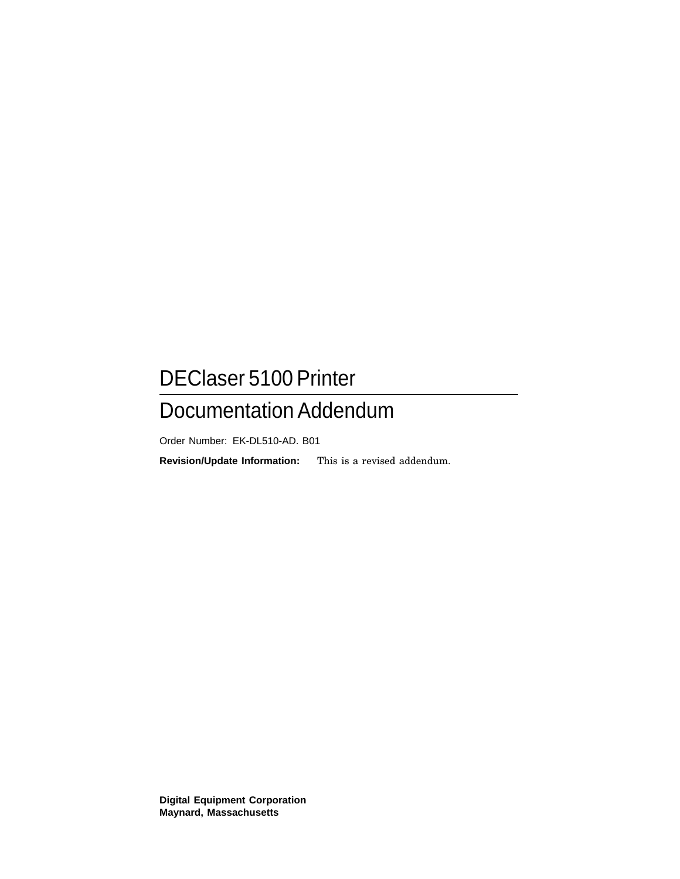# DEClaser 5100 Printer

## Documentation Addendum

Order Number: EK-DL510-AD. B01

**Revision/Update Information:** This is a revised addendum.

**Digital Equipment Corporation Maynard, Massachusetts**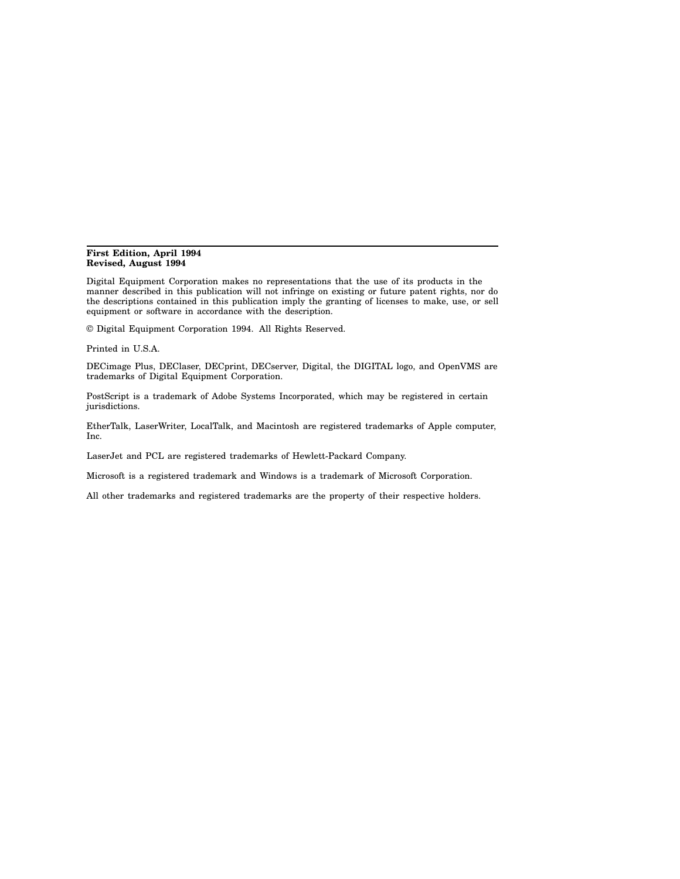#### **First Edition, April 1994 Revised, August 1994**

Digital Equipment Corporation makes no representations that the use of its products in the manner described in this publication will not infringe on existing or future patent rights, nor do the descriptions contained in this publication imply the granting of licenses to make, use, or sell equipment or software in accordance with the description.

© Digital Equipment Corporation 1994. All Rights Reserved.

Printed in U.S.A.

DECimage Plus, DEClaser, DECprint, DECserver, Digital, the DIGITAL logo, and OpenVMS are trademarks of Digital Equipment Corporation.

PostScript is a trademark of Adobe Systems Incorporated, which may be registered in certain jurisdictions.

EtherTalk, LaserWriter, LocalTalk, and Macintosh are registered trademarks of Apple computer, Inc.

LaserJet and PCL are registered trademarks of Hewlett-Packard Company.

Microsoft is a registered trademark and Windows is a trademark of Microsoft Corporation.

All other trademarks and registered trademarks are the property of their respective holders.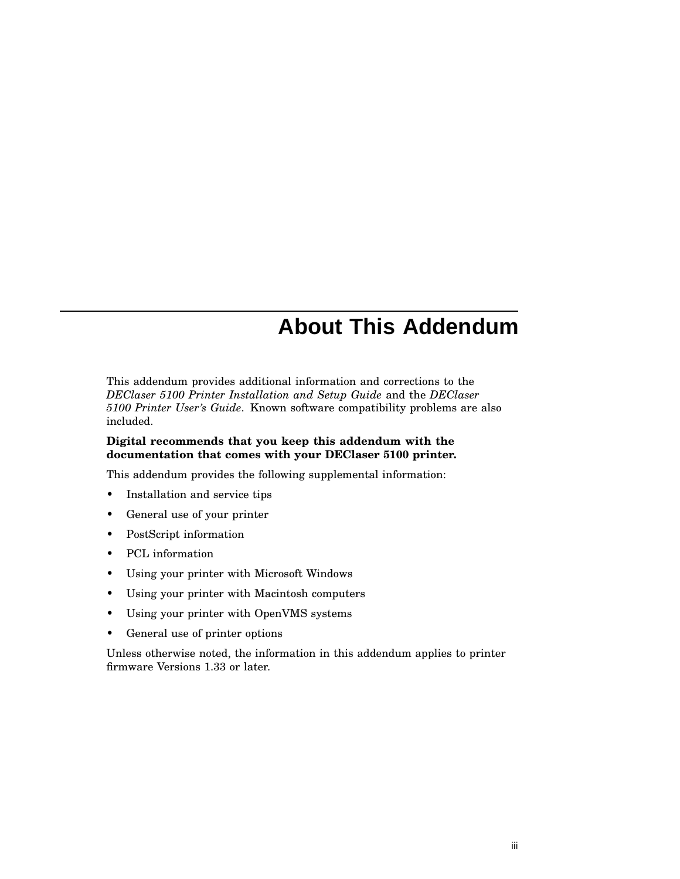## **About This Addendum**

This addendum provides additional information and corrections to the *DEClaser 5100 Printer Installation and Setup Guide* and the *DEClaser 5100 Printer User's Guide*. Known software compatibility problems are also included.

#### **Digital recommends that you keep this addendum with the documentation that comes with your DEClaser 5100 printer.**

This addendum provides the following supplemental information:

- Installation and service tips
- General use of your printer
- PostScript information
- PCL information
- Using your printer with Microsoft Windows
- Using your printer with Macintosh computers
- Using your printer with OpenVMS systems
- General use of printer options

Unless otherwise noted, the information in this addendum applies to printer firmware Versions 1.33 or later.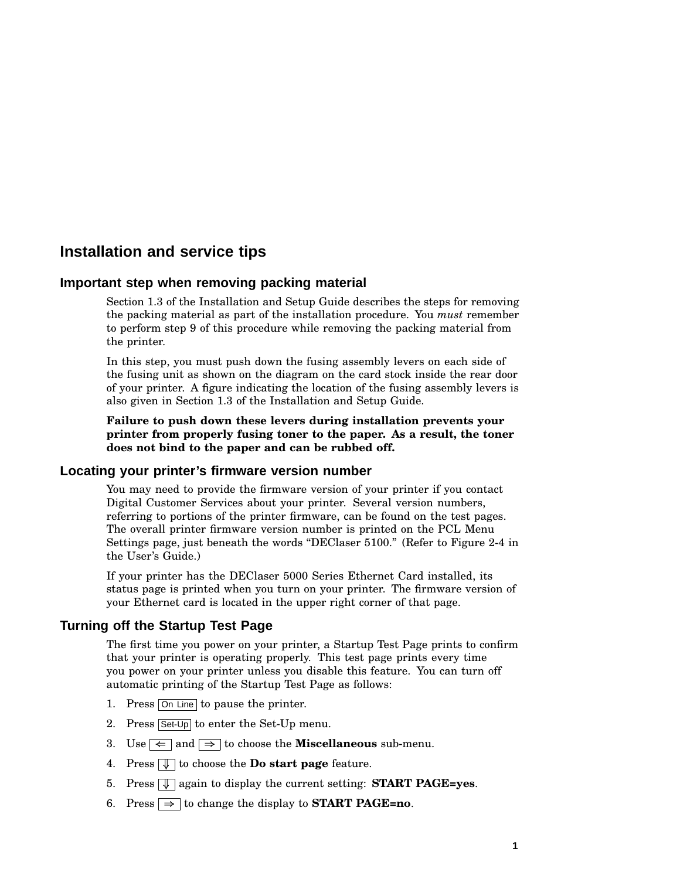## **Installation and service tips**

#### **Important step when removing packing material**

Section 1.3 of the Installation and Setup Guide describes the steps for removing the packing material as part of the installation procedure. You *must* remember to perform step 9 of this procedure while removing the packing material from the printer.

In this step, you must push down the fusing assembly levers on each side of the fusing unit as shown on the diagram on the card stock inside the rear door of your printer. A figure indicating the location of the fusing assembly levers is also given in Section 1.3 of the Installation and Setup Guide.

**Failure to push down these levers during installation prevents your printer from properly fusing toner to the paper. As a result, the toner does not bind to the paper and can be rubbed off.**

#### **Locating your printer's firmware version number**

You may need to provide the firmware version of your printer if you contact Digital Customer Services about your printer. Several version numbers, referring to portions of the printer firmware, can be found on the test pages. The overall printer firmware version number is printed on the PCL Menu Settings page, just beneath the words "DEClaser 5100." (Refer to Figure 2-4 in the User's Guide.)

If your printer has the DEClaser 5000 Series Ethernet Card installed, its status page is printed when you turn on your printer. The firmware version of your Ethernet card is located in the upper right corner of that page.

#### **Turning off the Startup Test Page**

The first time you power on your printer, a Startup Test Page prints to confirm that your printer is operating properly. This test page prints every time you power on your printer unless you disable this feature. You can turn off automatic printing of the Startup Test Page as follows:

- 1. Press On Line to pause the printer.
- 2. Press Set-Up to enter the Set-Up menu.
- 3. Use  $\Leftarrow$  and  $\Rightarrow$  to choose the **Miscellaneous** sub-menu.
- 4. Press  $\sqrt{\ }$  to choose the **Do start page** feature.
- 5. Press **I** again to display the current setting: **START PAGE=yes**.
- 6. Press  $\Rightarrow$  to change the display to **START PAGE=no**.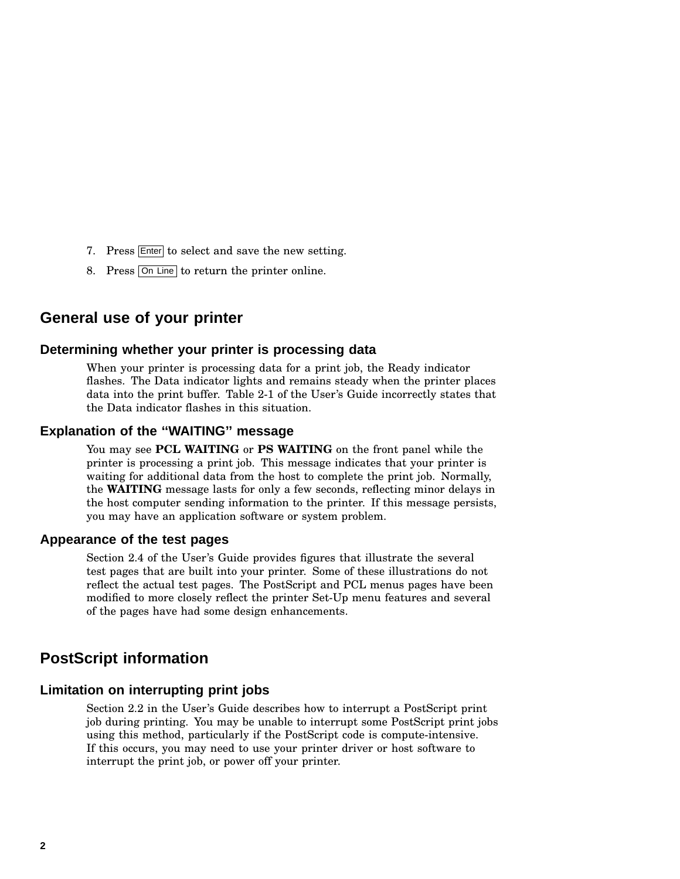- 7. Press Enter to select and save the new setting.
- 8. Press On Line to return the printer online.

## **General use of your printer**

#### **Determining whether your printer is processing data**

When your printer is processing data for a print job, the Ready indicator flashes. The Data indicator lights and remains steady when the printer places data into the print buffer. Table 2-1 of the User's Guide incorrectly states that the Data indicator flashes in this situation.

#### **Explanation of the ''WAITING'' message**

You may see **PCL WAITING** or **PS WAITING** on the front panel while the printer is processing a print job. This message indicates that your printer is waiting for additional data from the host to complete the print job. Normally, the **WAITING** message lasts for only a few seconds, reflecting minor delays in the host computer sending information to the printer. If this message persists, you may have an application software or system problem.

#### **Appearance of the test pages**

Section 2.4 of the User's Guide provides figures that illustrate the several test pages that are built into your printer. Some of these illustrations do not reflect the actual test pages. The PostScript and PCL menus pages have been modified to more closely reflect the printer Set-Up menu features and several of the pages have had some design enhancements.

## **PostScript information**

#### **Limitation on interrupting print jobs**

Section 2.2 in the User's Guide describes how to interrupt a PostScript print job during printing. You may be unable to interrupt some PostScript print jobs using this method, particularly if the PostScript code is compute-intensive. If this occurs, you may need to use your printer driver or host software to interrupt the print job, or power off your printer.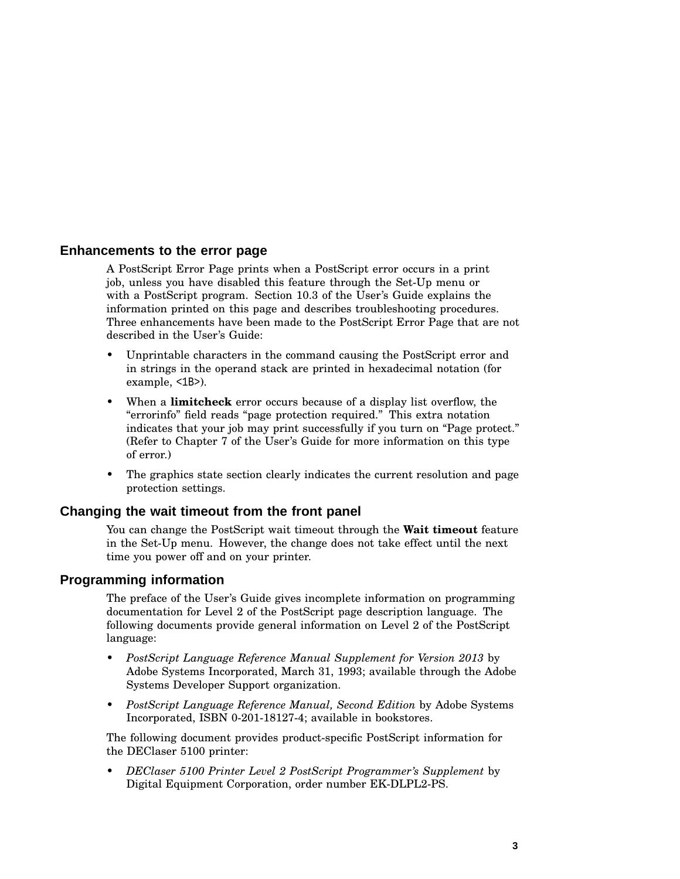#### **Enhancements to the error page**

A PostScript Error Page prints when a PostScript error occurs in a print job, unless you have disabled this feature through the Set-Up menu or with a PostScript program. Section 10.3 of the User's Guide explains the information printed on this page and describes troubleshooting procedures. Three enhancements have been made to the PostScript Error Page that are not described in the User's Guide:

- Unprintable characters in the command causing the PostScript error and in strings in the operand stack are printed in hexadecimal notation (for example, <1B>).
- When a **limitcheck** error occurs because of a display list overflow, the "errorinfo" field reads "page protection required." This extra notation indicates that your job may print successfully if you turn on "Page protect." (Refer to Chapter 7 of the User's Guide for more information on this type of error.)
- The graphics state section clearly indicates the current resolution and page protection settings.

#### **Changing the wait timeout from the front panel**

You can change the PostScript wait timeout through the **Wait timeout** feature in the Set-Up menu. However, the change does not take effect until the next time you power off and on your printer.

#### **Programming information**

The preface of the User's Guide gives incomplete information on programming documentation for Level 2 of the PostScript page description language. The following documents provide general information on Level 2 of the PostScript language:

- *PostScript Language Reference Manual Supplement for Version 2013* by Adobe Systems Incorporated, March 31, 1993; available through the Adobe Systems Developer Support organization.
- *PostScript Language Reference Manual, Second Edition* by Adobe Systems Incorporated, ISBN 0-201-18127-4; available in bookstores.

The following document provides product-specific PostScript information for the DEClaser 5100 printer:

• *DEClaser 5100 Printer Level 2 PostScript Programmer's Supplement* by Digital Equipment Corporation, order number EK-DLPL2-PS.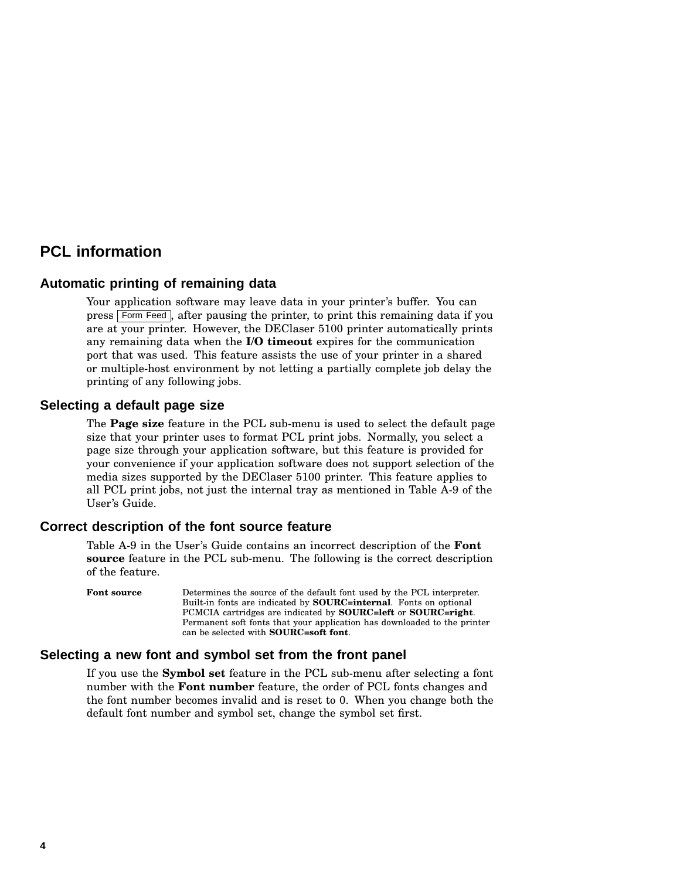## **PCL information**

#### **Automatic printing of remaining data**

Your application software may leave data in your printer's buffer. You can press Form Feed , after pausing the printer, to print this remaining data if you are at your printer. However, the DEClaser 5100 printer automatically prints any remaining data when the **I/O timeout** expires for the communication port that was used. This feature assists the use of your printer in a shared or multiple-host environment by not letting a partially complete job delay the printing of any following jobs.

#### **Selecting a default page size**

The **Page size** feature in the PCL sub-menu is used to select the default page size that your printer uses to format PCL print jobs. Normally, you select a page size through your application software, but this feature is provided for your convenience if your application software does not support selection of the media sizes supported by the DEClaser 5100 printer. This feature applies to all PCL print jobs, not just the internal tray as mentioned in Table A-9 of the User's Guide.

#### **Correct description of the font source feature**

Table A-9 in the User's Guide contains an incorrect description of the **Font source** feature in the PCL sub-menu. The following is the correct description of the feature.

**Font source** Determines the source of the default font used by the PCL interpreter. Built-in fonts are indicated by **SOURC=internal**. Fonts on optional PCMCIA cartridges are indicated by **SOURC=left** or **SOURC=right**. Permanent soft fonts that your application has downloaded to the printer can be selected with **SOURC=soft font**.

#### **Selecting a new font and symbol set from the front panel**

If you use the **Symbol set** feature in the PCL sub-menu after selecting a font number with the **Font number** feature, the order of PCL fonts changes and the font number becomes invalid and is reset to 0. When you change both the default font number and symbol set, change the symbol set first.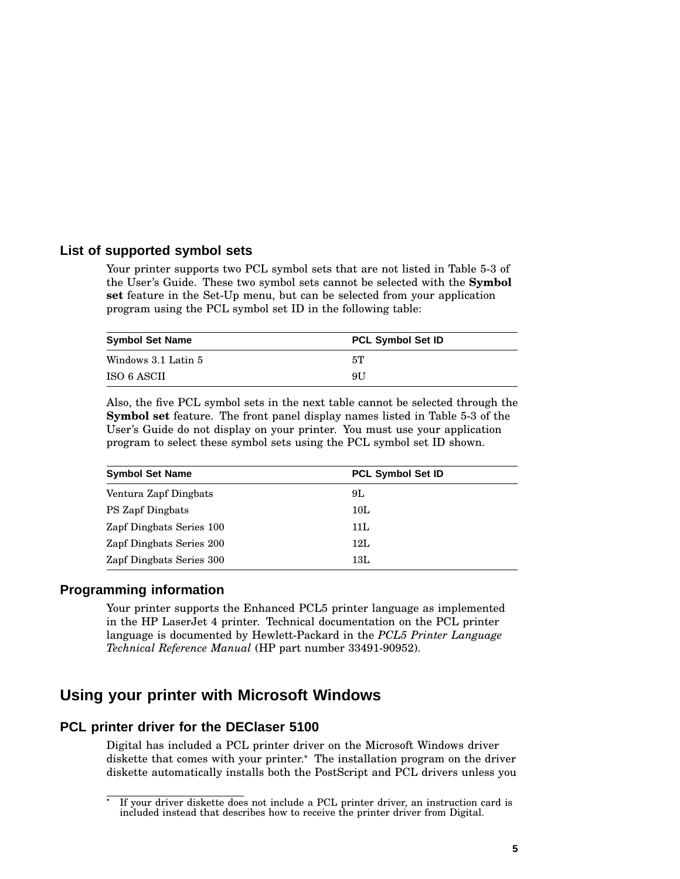#### **List of supported symbol sets**

Your printer supports two PCL symbol sets that are not listed in Table 5-3 of the User's Guide. These two symbol sets cannot be selected with the **Symbol set** feature in the Set-Up menu, but can be selected from your application program using the PCL symbol set ID in the following table:

| <b>Symbol Set Name</b> | <b>PCL Symbol Set ID</b> |  |
|------------------------|--------------------------|--|
| Windows 3.1 Latin 5    | 5T                       |  |
| ISO 6 ASCII            | 9U                       |  |

Also, the five PCL symbol sets in the next table cannot be selected through the **Symbol set** feature. The front panel display names listed in Table 5-3 of the User's Guide do not display on your printer. You must use your application program to select these symbol sets using the PCL symbol set ID shown.

| <b>Symbol Set Name</b>   | <b>PCL Symbol Set ID</b> |
|--------------------------|--------------------------|
| Ventura Zapf Dingbats    | 9L                       |
| PS Zapf Dingbats         | 10L                      |
| Zapf Dingbats Series 100 | 11L                      |
| Zapf Dingbats Series 200 | 12L                      |
| Zapf Dingbats Series 300 | 13L                      |

#### **Programming information**

Your printer supports the Enhanced PCL5 printer language as implemented in the HP LaserJet 4 printer. Technical documentation on the PCL printer language is documented by Hewlett-Packard in the *PCL5 Printer Language Technical Reference Manual* (HP part number 33491-90952).

## **Using your printer with Microsoft Windows**

#### **PCL printer driver for the DEClaser 5100**

Digital has included a PCL printer driver on the Microsoft Windows driver diskette that comes with your printer.<sup>\*</sup> The installation program on the driver diskette automatically installs both the PostScript and PCL drivers unless you

If your driver diskette does not include a PCL printer driver, an instruction card is included instead that describes how to receive the printer driver from Digital.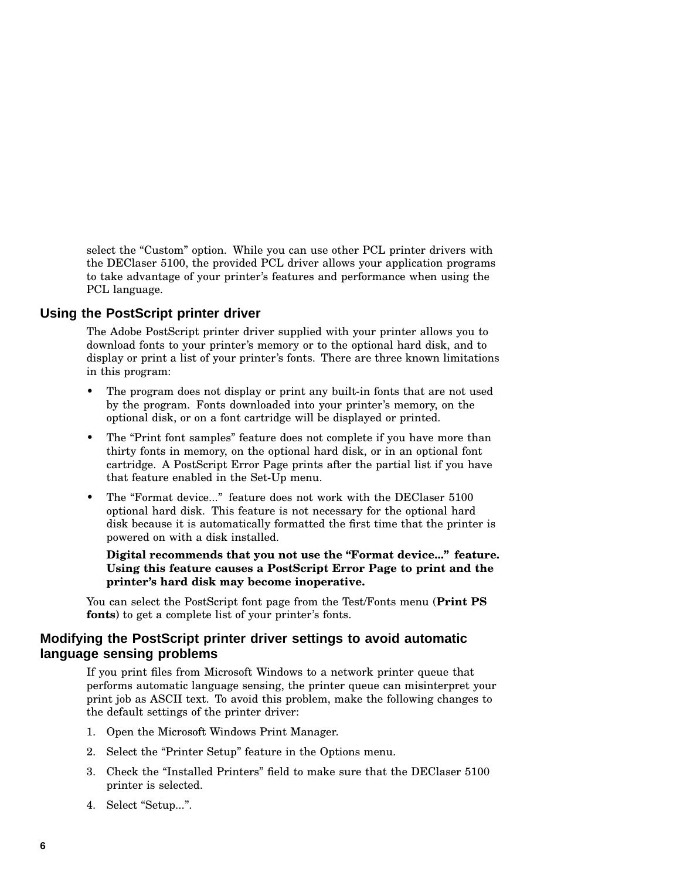select the "Custom" option. While you can use other PCL printer drivers with the DEClaser 5100, the provided PCL driver allows your application programs to take advantage of your printer's features and performance when using the PCL language.

#### **Using the PostScript printer driver**

The Adobe PostScript printer driver supplied with your printer allows you to download fonts to your printer's memory or to the optional hard disk, and to display or print a list of your printer's fonts. There are three known limitations in this program:

- The program does not display or print any built-in fonts that are not used by the program. Fonts downloaded into your printer's memory, on the optional disk, or on a font cartridge will be displayed or printed.
- The "Print font samples" feature does not complete if you have more than thirty fonts in memory, on the optional hard disk, or in an optional font cartridge. A PostScript Error Page prints after the partial list if you have that feature enabled in the Set-Up menu.
- The "Format device..." feature does not work with the DEClaser 5100 optional hard disk. This feature is not necessary for the optional hard disk because it is automatically formatted the first time that the printer is powered on with a disk installed.

#### **Digital recommends that you not use the ''Format device...'' feature. Using this feature causes a PostScript Error Page to print and the printer's hard disk may become inoperative.**

You can select the PostScript font page from the Test/Fonts menu (**Print PS fonts**) to get a complete list of your printer's fonts.

#### **Modifying the PostScript printer driver settings to avoid automatic language sensing problems**

If you print files from Microsoft Windows to a network printer queue that performs automatic language sensing, the printer queue can misinterpret your print job as ASCII text. To avoid this problem, make the following changes to the default settings of the printer driver:

- 1. Open the Microsoft Windows Print Manager.
- 2. Select the "Printer Setup" feature in the Options menu.
- 3. Check the ''Installed Printers'' field to make sure that the DEClaser 5100 printer is selected.
- 4. Select "Setup...".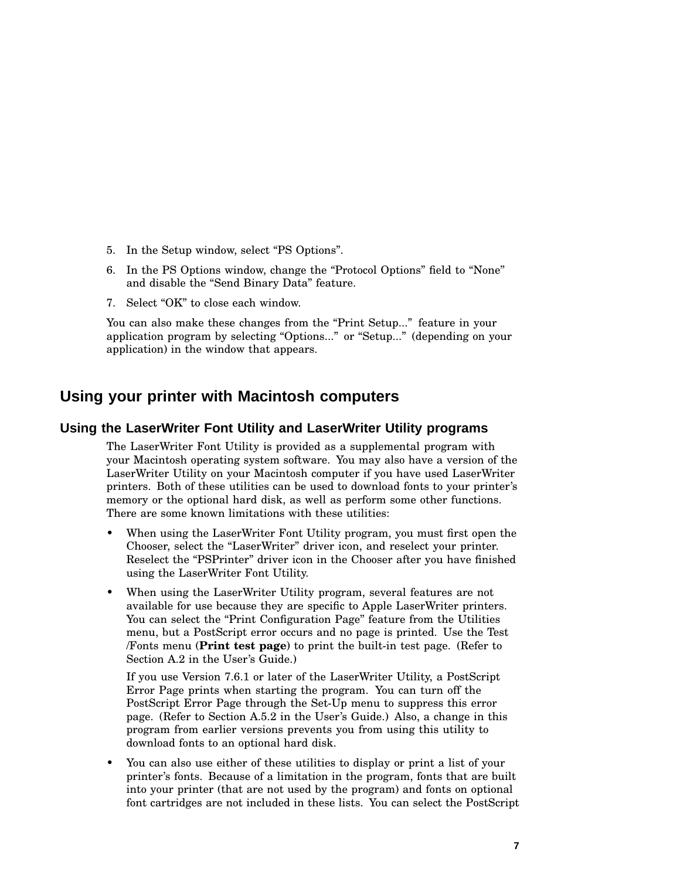- 5. In the Setup window, select ''PS Options''.
- 6. In the PS Options window, change the "Protocol Options" field to "None" and disable the ''Send Binary Data'' feature.
- 7. Select "OK" to close each window.

You can also make these changes from the "Print Setup..." feature in your application program by selecting "Options..." or "Setup..." (depending on your application) in the window that appears.

## **Using your printer with Macintosh computers**

#### **Using the LaserWriter Font Utility and LaserWriter Utility programs**

The LaserWriter Font Utility is provided as a supplemental program with your Macintosh operating system software. You may also have a version of the LaserWriter Utility on your Macintosh computer if you have used LaserWriter printers. Both of these utilities can be used to download fonts to your printer's memory or the optional hard disk, as well as perform some other functions. There are some known limitations with these utilities:

- When using the LaserWriter Font Utility program, you must first open the Chooser, select the "LaserWriter" driver icon, and reselect your printer. Reselect the "PSPrinter" driver icon in the Chooser after you have finished using the LaserWriter Font Utility.
- When using the LaserWriter Utility program, several features are not available for use because they are specific to Apple LaserWriter printers. You can select the "Print Configuration Page" feature from the Utilities menu, but a PostScript error occurs and no page is printed. Use the Test /Fonts menu (**Print test page**) to print the built-in test page. (Refer to Section A.2 in the User's Guide.)

If you use Version 7.6.1 or later of the LaserWriter Utility, a PostScript Error Page prints when starting the program. You can turn off the PostScript Error Page through the Set-Up menu to suppress this error page. (Refer to Section A.5.2 in the User's Guide.) Also, a change in this program from earlier versions prevents you from using this utility to download fonts to an optional hard disk.

• You can also use either of these utilities to display or print a list of your printer's fonts. Because of a limitation in the program, fonts that are built into your printer (that are not used by the program) and fonts on optional font cartridges are not included in these lists. You can select the PostScript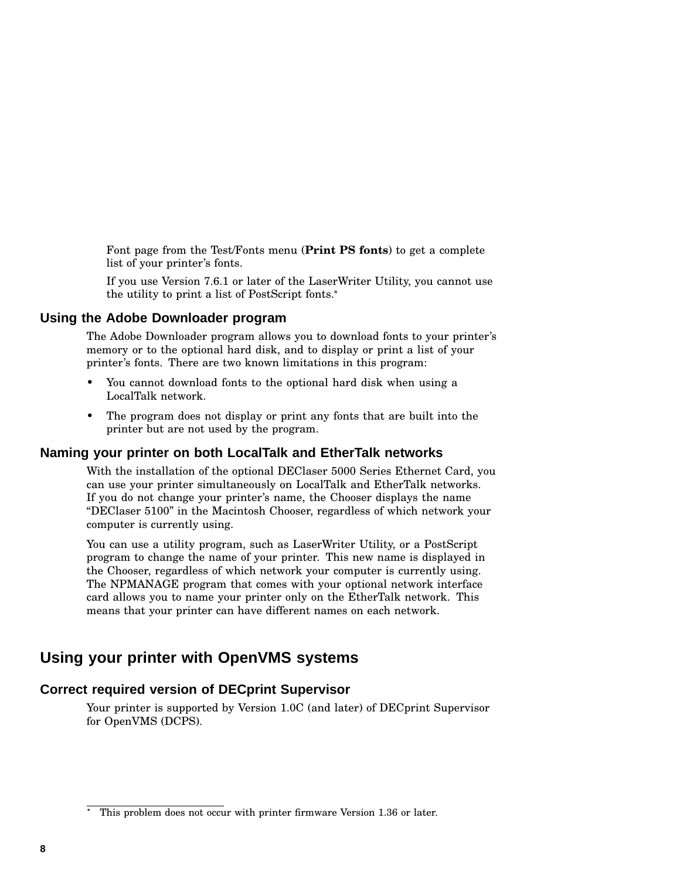Font page from the Test/Fonts menu (**Print PS fonts**) to get a complete list of your printer's fonts.

If you use Version 7.6.1 or later of the LaserWriter Utility, you cannot use the utility to print a list of PostScript fonts.

#### **Using the Adobe Downloader program**

The Adobe Downloader program allows you to download fonts to your printer's memory or to the optional hard disk, and to display or print a list of your printer's fonts. There are two known limitations in this program:

- You cannot download fonts to the optional hard disk when using a LocalTalk network.
- The program does not display or print any fonts that are built into the printer but are not used by the program.

#### **Naming your printer on both LocalTalk and EtherTalk networks**

With the installation of the optional DEClaser 5000 Series Ethernet Card, you can use your printer simultaneously on LocalTalk and EtherTalk networks. If you do not change your printer's name, the Chooser displays the name ''DEClaser 5100'' in the Macintosh Chooser, regardless of which network your computer is currently using.

You can use a utility program, such as LaserWriter Utility, or a PostScript program to change the name of your printer. This new name is displayed in the Chooser, regardless of which network your computer is currently using. The NPMANAGE program that comes with your optional network interface card allows you to name your printer only on the EtherTalk network. This means that your printer can have different names on each network.

## **Using your printer with OpenVMS systems**

#### **Correct required version of DECprint Supervisor**

Your printer is supported by Version 1.0C (and later) of DECprint Supervisor for OpenVMS (DCPS).

This problem does not occur with printer firmware Version 1.36 or later.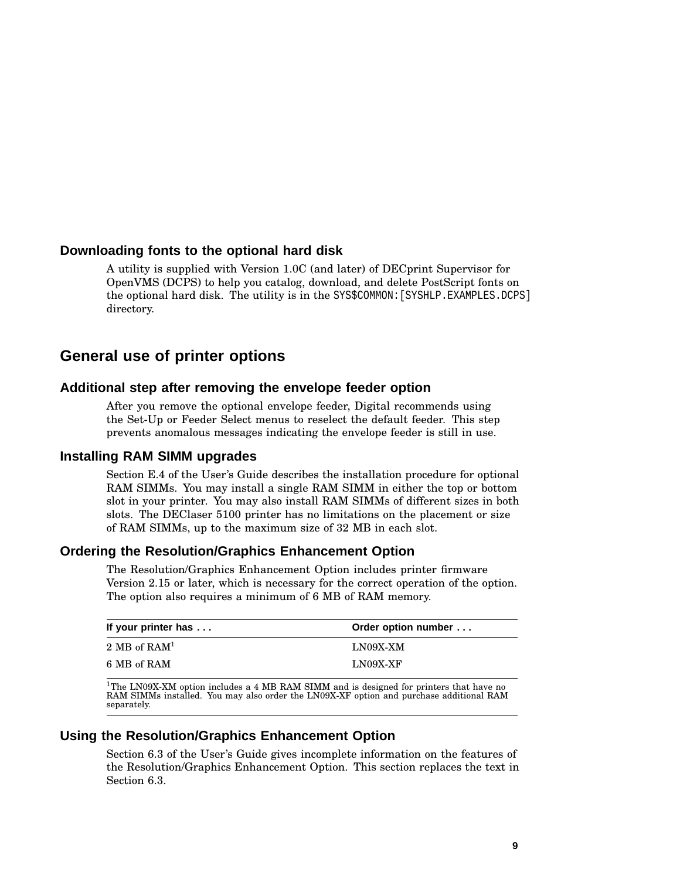#### **Downloading fonts to the optional hard disk**

A utility is supplied with Version 1.0C (and later) of DECprint Supervisor for OpenVMS (DCPS) to help you catalog, download, and delete PostScript fonts on the optional hard disk. The utility is in the SYS\$COMMON:[SYSHLP.EXAMPLES.DCPS] directory.

## **General use of printer options**

#### **Additional step after removing the envelope feeder option**

After you remove the optional envelope feeder, Digital recommends using the Set-Up or Feeder Select menus to reselect the default feeder. This step prevents anomalous messages indicating the envelope feeder is still in use.

#### **Installing RAM SIMM upgrades**

Section E.4 of the User's Guide describes the installation procedure for optional RAM SIMMs. You may install a single RAM SIMM in either the top or bottom slot in your printer. You may also install RAM SIMMs of different sizes in both slots. The DEClaser 5100 printer has no limitations on the placement or size of RAM SIMMs, up to the maximum size of 32 MB in each slot.

#### **Ordering the Resolution/Graphics Enhancement Option**

The Resolution/Graphics Enhancement Option includes printer firmware Version 2.15 or later, which is necessary for the correct operation of the option. The option also requires a minimum of 6 MB of RAM memory.

| If your printer has | Order option number |
|---------------------|---------------------|
| 2 MB of $RAM1$      | LN09X-XM            |
| 6 MB of RAM         | $LNO9X-XF$          |

<sup>1</sup>The LN09X-XM option includes a 4 MB RAM SIMM and is designed for printers that have no<br>RAM SIMMs installed. You may also order the LN09X-XF option and purchase additional RAM separately.

#### **Using the Resolution/Graphics Enhancement Option**

Section 6.3 of the User's Guide gives incomplete information on the features of the Resolution/Graphics Enhancement Option. This section replaces the text in Section 6.3.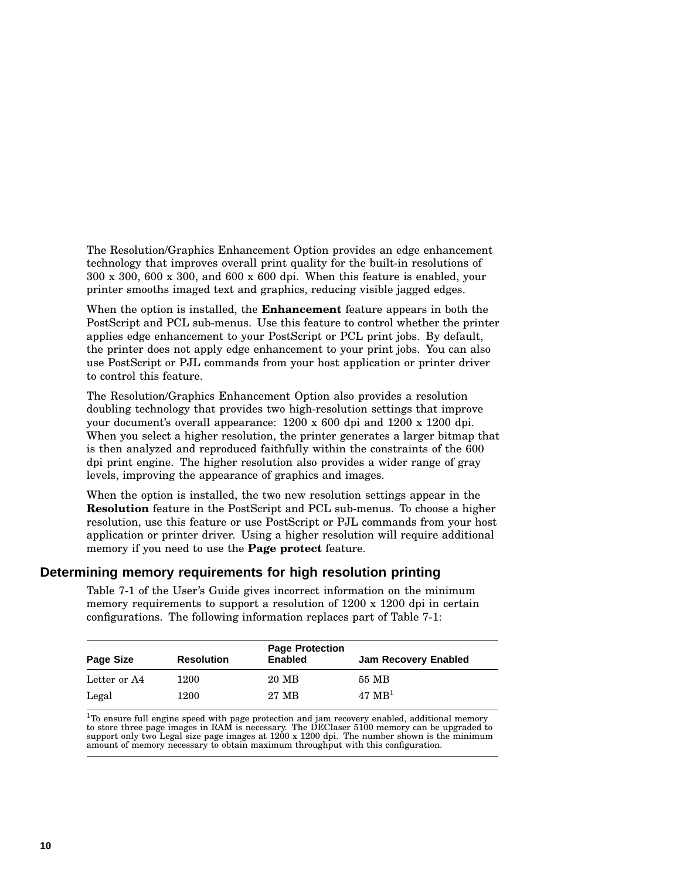The Resolution/Graphics Enhancement Option provides an edge enhancement technology that improves overall print quality for the built-in resolutions of 300 x 300, 600 x 300, and 600 x 600 dpi. When this feature is enabled, your printer smooths imaged text and graphics, reducing visible jagged edges.

When the option is installed, the **Enhancement** feature appears in both the PostScript and PCL sub-menus. Use this feature to control whether the printer applies edge enhancement to your PostScript or PCL print jobs. By default, the printer does not apply edge enhancement to your print jobs. You can also use PostScript or PJL commands from your host application or printer driver to control this feature.

The Resolution/Graphics Enhancement Option also provides a resolution doubling technology that provides two high-resolution settings that improve your document's overall appearance: 1200 x 600 dpi and 1200 x 1200 dpi. When you select a higher resolution, the printer generates a larger bitmap that is then analyzed and reproduced faithfully within the constraints of the 600 dpi print engine. The higher resolution also provides a wider range of gray levels, improving the appearance of graphics and images.

When the option is installed, the two new resolution settings appear in the **Resolution** feature in the PostScript and PCL sub-menus. To choose a higher resolution, use this feature or use PostScript or PJL commands from your host application or printer driver. Using a higher resolution will require additional memory if you need to use the **Page protect** feature.

#### **Determining memory requirements for high resolution printing**

Table 7-1 of the User's Guide gives incorrect information on the minimum memory requirements to support a resolution of 1200 x 1200 dpi in certain configurations. The following information replaces part of Table 7-1:

| Page Size    | <b>Resolution</b> | <b>Page Protection</b><br><b>Enabled</b> | Jam Recovery Enabled |
|--------------|-------------------|------------------------------------------|----------------------|
| Letter or A4 | 1200              | 20 MB                                    | 55 MB                |
| Legal        | 1200              | 27 MB                                    | 47 $MB1$             |

 $^{1}$ To ensure full engine speed with page protection and jam recovery enabled, additional memory to store three page images in RAM is necessary. The DEClaser 5100 memory can be upgraded to support only two Legal size pag amount of memory necessary to obtain maximum throughput with this configuration.